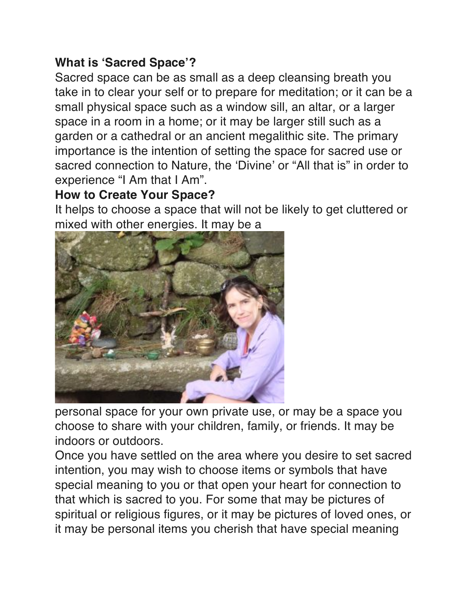## **What is 'Sacred Space'?**

Sacred space can be as small as a deep cleansing breath you take in to clear your self or to prepare for meditation; or it can be a small physical space such as a window sill, an altar, or a larger space in a room in a home; or it may be larger still such as a garden or a cathedral or an ancient megalithic site. The primary importance is the intention of setting the space for sacred use or sacred connection to Nature, the 'Divine' or "All that is" in order to experience "I Am that I Am".

## **How to Create Your Space?**

It helps to choose a space that will not be likely to get cluttered or mixed with other energies. It may be a



personal space for your own private use, or may be a space you choose to share with your children, family, or friends. It may be indoors or outdoors.

Once you have settled on the area where you desire to set sacred intention, you may wish to choose items or symbols that have special meaning to you or that open your heart for connection to that which is sacred to you. For some that may be pictures of spiritual or religious figures, or it may be pictures of loved ones, or it may be personal items you cherish that have special meaning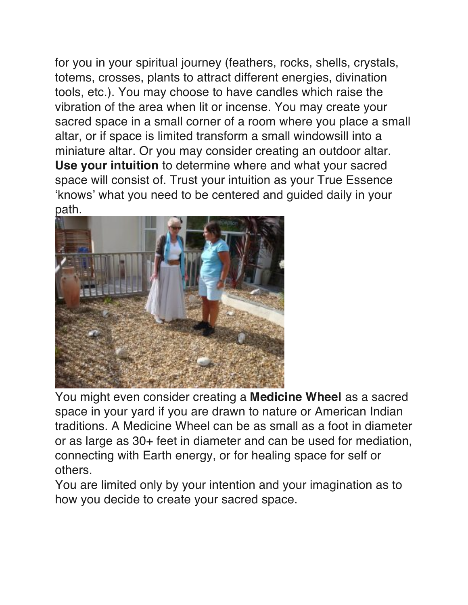for you in your spiritual journey (feathers, rocks, shells, crystals, totems, crosses, plants to attract different energies, divination tools, etc.). You may choose to have candles which raise the vibration of the area when lit or incense. You may create your sacred space in a small corner of a room where you place a small altar, or if space is limited transform a small windowsill into a miniature altar. Or you may consider creating an outdoor altar. **Use your intuition** to determine where and what your sacred space will consist of. Trust your intuition as your True Essence 'knows' what you need to be centered and guided daily in your path.



You might even consider creating a **Medicine Wheel** as a sacred space in your yard if you are drawn to nature or American Indian traditions. A Medicine Wheel can be as small as a foot in diameter or as large as 30+ feet in diameter and can be used for mediation, connecting with Earth energy, or for healing space for self or others.

You are limited only by your intention and your imagination as to how you decide to create your sacred space.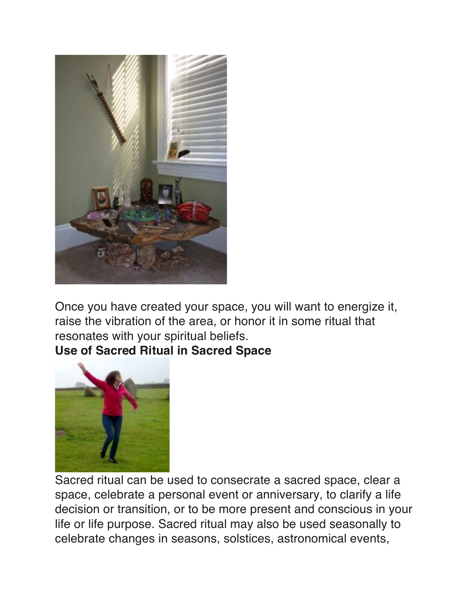

Once you have created your space, you will want to energize it, raise the vibration of the area, or honor it in some ritual that resonates with your spiritual beliefs.

**Use of Sacred Ritual in Sacred Space**



Sacred ritual can be used to consecrate a sacred space, clear a space, celebrate a personal event or anniversary, to clarify a life decision or transition, or to be more present and conscious in your life or life purpose. Sacred ritual may also be used seasonally to celebrate changes in seasons, solstices, astronomical events,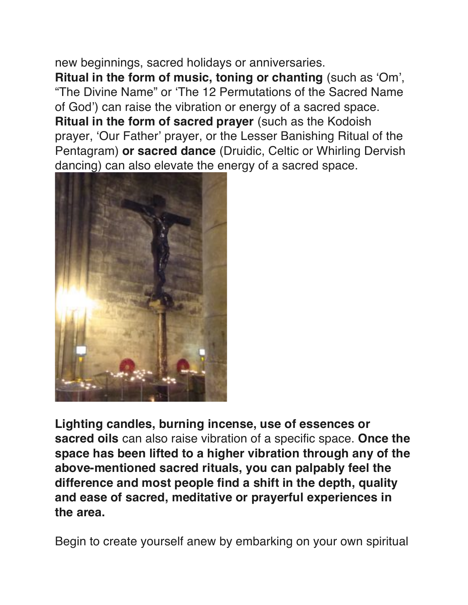new beginnings, sacred holidays or anniversaries. **Ritual in the form of music, toning or chanting** (such as 'Om', "The Divine Name" or 'The 12 Permutations of the Sacred Name of God') can raise the vibration or energy of a sacred space. **Ritual in the form of sacred prayer** (such as the Kodoish prayer, 'Our Father' prayer, or the Lesser Banishing Ritual of the Pentagram) **or sacred dance** (Druidic, Celtic or Whirling Dervish dancing) can also elevate the energy of a sacred space.



**Lighting candles, burning incense, use of essences or sacred oils** can also raise vibration of a specific space. **Once the space has been lifted to a higher vibration through any of the above-mentioned sacred rituals, you can palpably feel the difference and most people find a shift in the depth, quality and ease of sacred, meditative or prayerful experiences in the area.**

Begin to create yourself anew by embarking on your own spiritual